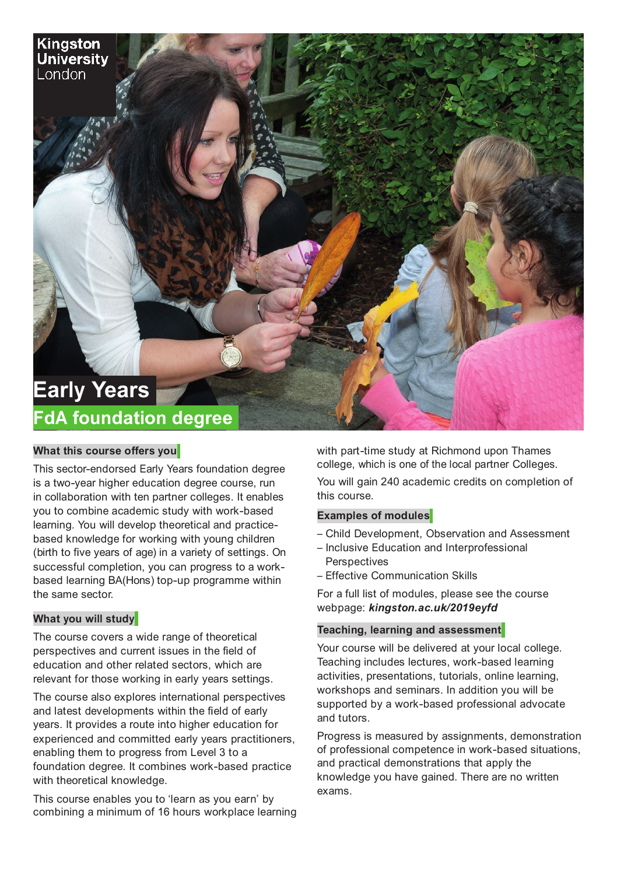# **Early Years FdA foundation degree**

## **What this course offers you**

Kingston Universitv London

This sector-endorsed Early Years foundation degree is a two-year higher education degree course, run in collaboration with ten partner colleges. It enables you to combine academic study with work-based learning. You will develop theoretical and practicebased knowledge for working with young children (birth to five years of age) in a variety of settings. On successful completion, you can progress to a workbased learning BA(Hons) top-up programme within the same sector.

### **What you will study**

The course covers a wide range of theoretical perspectives and current issues in the field of education and other related sectors, which are relevant for those working in early years settings.

The course also explores international perspectives and latest developments within the field of early years. It provides a route into higher education for experienced and committed early years practitioners, enabling them to progress from Level 3 to a foundation degree. It combines work-based practice with theoretical knowledge.

This course enables you to 'learn as you earn' by combining a minimum of 16 hours workplace learning

with part-time study at Richmond upon Thames college, which is one of the local partner Colleges.

You will gain 240 academic credits on completion of this course.

## **Examples of modules**

- Child Development, Observation and Assessment
- Inclusive Education and Interprofessional **Perspectives**
- Effective Communication Skills

For a full list of modules, please see the course webpage: *kingston.ac.uk/2019eyfd*

### **Teaching, learning and assessment**

Your course will be delivered at your local college. Teaching includes lectures, work-based learning activities, presentations, tutorials, online learning, workshops and seminars. In addition you will be supported by a work-based professional advocate and tutors.

Progress is measured by assignments, demonstration of professional competence in work-based situations, and practical demonstrations that apply the knowledge you have gained. There are no written exams.